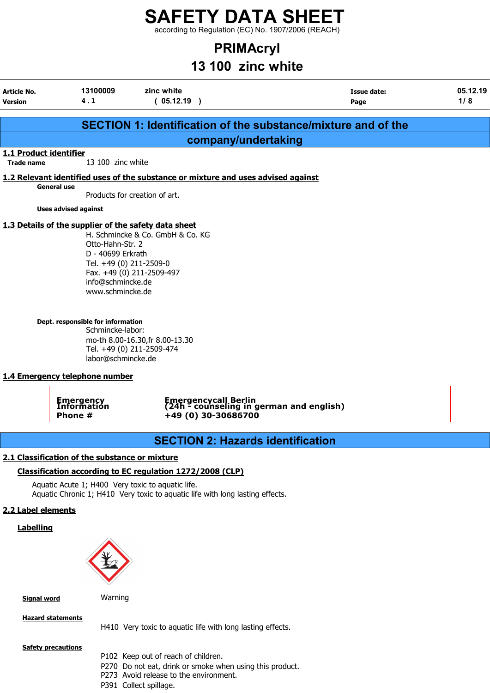according to Regulation (EC) No. 1907/2006 (REACH)

# PRIMAcryl

# 13 100 zinc white

| Article No.<br><b>Version</b> | 13100009<br>4.1                                                                                               | zinc white<br>(05.12.19)                                                          | <b>Issue date:</b><br>Page                                       | 05.12.19<br>1/8 |  |  |  |  |
|-------------------------------|---------------------------------------------------------------------------------------------------------------|-----------------------------------------------------------------------------------|------------------------------------------------------------------|-----------------|--|--|--|--|
|                               |                                                                                                               |                                                                                   |                                                                  |                 |  |  |  |  |
|                               |                                                                                                               |                                                                                   | SECTION 1: Identification of the substance/mixture and of the    |                 |  |  |  |  |
|                               |                                                                                                               |                                                                                   | company/undertaking                                              |                 |  |  |  |  |
| 1.1 Product identifier        |                                                                                                               |                                                                                   |                                                                  |                 |  |  |  |  |
| <b>Trade name</b>             | 13 100 zinc white                                                                                             |                                                                                   |                                                                  |                 |  |  |  |  |
|                               |                                                                                                               | 1.2 Relevant identified uses of the substance or mixture and uses advised against |                                                                  |                 |  |  |  |  |
|                               | General use<br>Products for creation of art.                                                                  |                                                                                   |                                                                  |                 |  |  |  |  |
|                               | <b>Uses advised against</b>                                                                                   |                                                                                   |                                                                  |                 |  |  |  |  |
|                               | 1.3 Details of the supplier of the safety data sheet                                                          |                                                                                   |                                                                  |                 |  |  |  |  |
|                               | Otto-Hahn-Str. 2<br>D - 40699 Erkrath<br>Tel. +49 (0) 211-2509-0<br>info@schmincke.de<br>www.schmincke.de     | H. Schmincke & Co. GmbH & Co. KG<br>Fax. +49 (0) 211-2509-497                     |                                                                  |                 |  |  |  |  |
|                               | Dept. responsible for information<br>Schmincke-labor:<br>labor@schmincke.de<br>1.4 Emergency telephone number | mo-th 8.00-16.30, fr 8.00-13.30<br>Tel. +49 (0) 211-2509-474                      |                                                                  |                 |  |  |  |  |
|                               | <b>Emergency</b><br>Information<br>Phone #                                                                    | +49 (0) 30-30686700                                                               | Emergencycall Berlin<br>(24h - counseling in german and english) |                 |  |  |  |  |

# SECTION 2: Hazards identification

### 2.1 Classification of the substance or mixture

# Classification according to EC regulation 1272/2008 (CLP)

Aquatic Acute 1; H400 Very toxic to aquatic life. Aquatic Chronic 1; H410 Very toxic to aquatic life with long lasting effects.

# 2.2 Label elements

# **Labelling**



**Signal word** Warning

Hazard statements

H410 Very toxic to aquatic life with long lasting effects.

**Safety precautions** 

- P102 Keep out of reach of children.
- P270 Do not eat, drink or smoke when using this product.
- P273 Avoid release to the environment.
- P391 Collect spillage.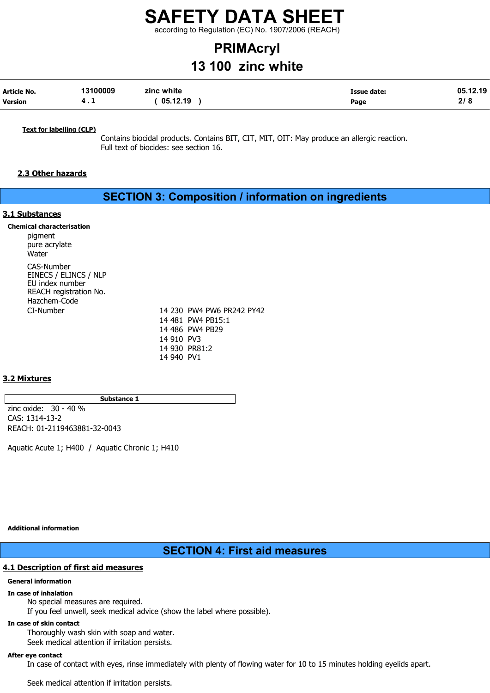according to Regulation (EC) No. 1907/2006 (REACH)

# PRIMAcryl 13 100 zinc white

| Article No.    | 13100009 | zinc white | <b>Issue date:</b> | 05.12.19 |
|----------------|----------|------------|--------------------|----------|
| <b>Version</b> | 4.L      | 05.12.19   | Page               |          |

Text for labelling (CLP)

Contains biocidal products. Contains BIT, CIT, MIT, OIT: May produce an allergic reaction. Full text of biocides: see section 16.

### 2.3 Other hazards

# SECTION 3: Composition / information on ingredients

### 3.1 Substances

Chemical characterisation pigment pure acrylate Water CAS-Number EINECS / ELINCS / NLP EU index number REACH registration No. Hazchem-Code CI-Number 14 230 PW4 PW6 PR242 PY42 14 481 PW4 PB15:1 14 486 PW4 PB29 14 910 PV3 14 930 PR81:2

14 940 PV1

### 3.2 Mixtures

Substance 1 zinc oxide: 30 - 40 % CAS: 1314-13-2 REACH: 01-2119463881-32-0043

Aquatic Acute 1; H400 / Aquatic Chronic 1; H410

#### Additional information

SECTION 4: First aid measures

### 4.1 Description of first aid measures

### General information

### In case of inhalation

No special measures are required.

If you feel unwell, seek medical advice (show the label where possible).

#### In case of skin contact

Thoroughly wash skin with soap and water.

Seek medical attention if irritation persists.

### After eye contact

In case of contact with eyes, rinse immediately with plenty of flowing water for 10 to 15 minutes holding eyelids apart.

Seek medical attention if irritation persists.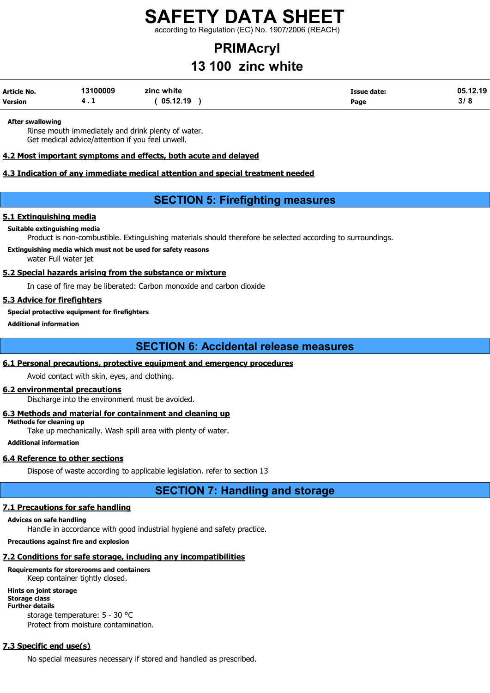according to Regulation (EC) No. 1907/2006 (REACH)

# PRIMAcryl 13 100 zinc white

| Article No. | 13100009 | zinc white | <b>Issue date:</b> | 05.12.19      |
|-------------|----------|------------|--------------------|---------------|
| Version     | 4.1      | 05.12.19   | Page               | o 1 O<br>31 O |

### After swallowing

Rinse mouth immediately and drink plenty of water. Get medical advice/attention if you feel unwell.

### 4.2 Most important symptoms and effects, both acute and delayed

### 4.3 Indication of any immediate medical attention and special treatment needed

## SECTION 5: Firefighting measures

### 5.1 Extinguishing media

### Suitable extinguishing media

Product is non-combustible. Extinguishing materials should therefore be selected according to surroundings.

### Extinguishing media which must not be used for safety reasons

water Full water jet

### 5.2 Special hazards arising from the substance or mixture

In case of fire may be liberated: Carbon monoxide and carbon dioxide

### 5.3 Advice for firefighters

Special protective equipment for firefighters

Additional information

## SECTION 6: Accidental release measures

### 6.1 Personal precautions, protective equipment and emergency procedures

Avoid contact with skin, eyes, and clothing.

### 6.2 environmental precautions

Discharge into the environment must be avoided.

### 6.3 Methods and material for containment and cleaning up

Methods for cleaning up

Take up mechanically. Wash spill area with plenty of water.

### Additional information

### 6.4 Reference to other sections

Dispose of waste according to applicable legislation. refer to section 13

SECTION 7: Handling and storage

### 7.1 Precautions for safe handling

### Advices on safe handling

Handle in accordance with good industrial hygiene and safety practice.

Precautions against fire and explosion

### 7.2 Conditions for safe storage, including any incompatibilities

### Requirements for storerooms and containers Keep container tightly closed.

Hints on joint storage Storage class Further details storage temperature: 5 - 30 °C Protect from moisture contamination.

## 7.3 Specific end use(s)

No special measures necessary if stored and handled as prescribed.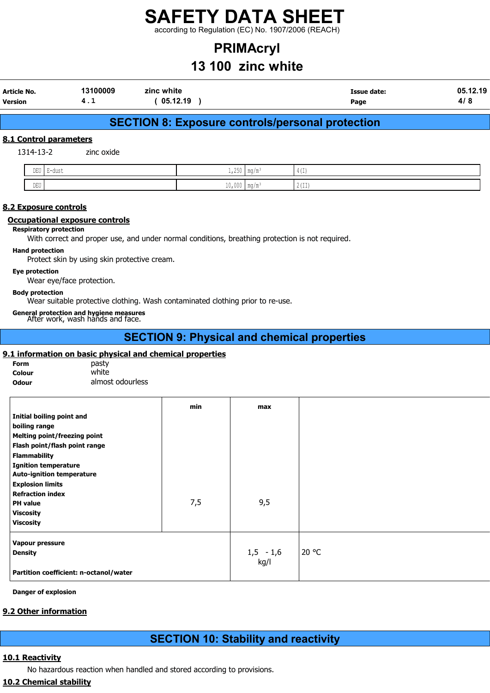according to Regulation (EC) No. 1907/2006 (REACH)

# PRIMAcryl

# 13 100 zinc white

| Article No.    | 13100009 | zinc white | Issue date: | 05.12.19 |
|----------------|----------|------------|-------------|----------|
| <b>Version</b> | . .      | 05.12.19   | Page        |          |

# SECTION 8: Exposure controls/personal protection

### 8.1 Control parameters

1314-13-2 zinc oxide

| $\mathbb{DEU}$                   | $F - \triangle 11C$<br>با لبانانا | $\sim$ $\sim$ $\sim$<br>. .<br>エナムママ | $\mathbf{m}$<br>∣ III.Y / III | $1 + 1 = 1$<br>---               |
|----------------------------------|-----------------------------------|--------------------------------------|-------------------------------|----------------------------------|
| $\mathbb{D}\mathbb{E}\mathbb{U}$ |                                   | $\sim$ $\sim$<br>LV, VVV   IIIY/III  | m.                            | 0.1771<br>$\sim$ $($ $+$ $+$ $)$ |

### 8.2 Exposure controls

### Occupational exposure controls

## Respiratory protection

With correct and proper use, and under normal conditions, breathing protection is not required.

### Hand protection

Protect skin by using skin protective cream.

### Eye protection

Wear eye/face protection.

### Body protection

Wear suitable protective clothing. Wash contaminated clothing prior to re-use.

General protection and hygiene measures After work, wash hands and face.

# SECTION 9: Physical and chemical properties

### 9.1 information on basic physical and chemical properties

| <b>Form</b>  | pasty            |
|--------------|------------------|
| Colour       | white            |
| <b>Odour</b> | almost odourless |

|                                        | min | max         |       |
|----------------------------------------|-----|-------------|-------|
| Initial boiling point and              |     |             |       |
| boiling range                          |     |             |       |
| <b>Melting point/freezing point</b>    |     |             |       |
| Flash point/flash point range          |     |             |       |
| <b>Flammability</b>                    |     |             |       |
| <b>Ignition temperature</b>            |     |             |       |
| <b>Auto-ignition temperature</b>       |     |             |       |
| <b>Explosion limits</b>                |     |             |       |
| <b>Refraction index</b>                |     |             |       |
| <b>PH</b> value                        | 7,5 | 9,5         |       |
| <b>Viscosity</b>                       |     |             |       |
| <b>Viscosity</b>                       |     |             |       |
| Vapour pressure                        |     |             |       |
| <b>Density</b>                         |     | $1,5 - 1,6$ | 20 °C |
|                                        |     | kg/l        |       |
| Partition coefficient: n-octanol/water |     |             |       |
|                                        |     |             |       |

Danger of explosion

### 9.2 Other information

# SECTION 10: Stability and reactivity

### 10.1 Reactivity

No hazardous reaction when handled and stored according to provisions.

### 10.2 Chemical stability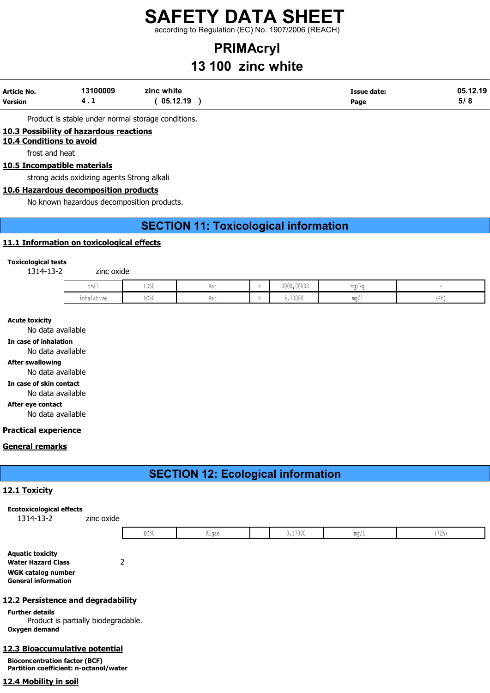according to Regulation (EC) No. 1907/2006 (REACH)

# PRIMAcryl 13 100 zinc white

| Article No.    | 13100009 | zinc white | <b>Issue date:</b> | 05.12.19 |
|----------------|----------|------------|--------------------|----------|
| <b>Version</b> | 4.1      | 05.12.19   | Page               | 5/8      |

Product is stable under normal storage conditions.

## 10.3 Possibility of hazardous reactions

10.4 Conditions to avoid

frost and heat

### 10.5 Incompatible materials

strong acids oxidizing agents Strong alkali

## 10.6 Hazardous decomposition products

No known hazardous decomposition products.

# SECTION 11: Toxicological information

## 11.1 Information on toxicological effects

Toxicological tests

1314-13-2 zinc oxide

| oral            | T R C<br>∪∪עע                            | ∔∼ה<br>.na l | 10000,00000 | mg/kg       |      |
|-----------------|------------------------------------------|--------------|-------------|-------------|------|
| .<br>inhalative | $T \cap \Gamma$<br>コンソリ<br>$\sim$ $\sim$ | ு⊶<br>Kdl    | 5,70000     | $m\alpha/L$ | -111 |

### Acute toxicity

No data available

In case of inhalation

No data available

### After swallowing

No data available

### In case of skin contact

No data available

After eye contact

No data available

### Practical experience

### General remarks

# SECTION 12: Ecological information

### 12.1 Toxicity

# Ecotoxicological effects

1314-13-2 zinc oxide

|  |  | コンマッ | mae<br>. |  | $- - - -$<br>,17000 | <b>MA OH</b> | .<br>17n<br>1.411 |
|--|--|------|----------|--|---------------------|--------------|-------------------|
|--|--|------|----------|--|---------------------|--------------|-------------------|

Aquatic toxicity Water Hazard Class 2 WGK catalog number General information

## 12.2 Persistence and degradability

Further details Product is partially biodegradable. Oxygen demand

## 12.3 Bioaccumulative potential

Bioconcentration factor (BCF) Partition coefficient: n-octanol/water

# 12.4 Mobility in soil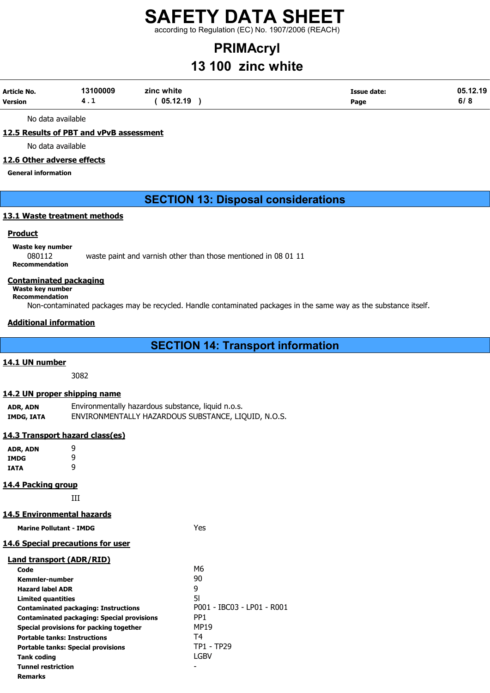according to Regulation (EC) No. 1907/2006 (REACH)

# PRIMAcryl 13 100 zinc white

| Article No.    | 13100009 | zinc white | Issue date: | 05.12.19 |
|----------------|----------|------------|-------------|----------|
| <b>Version</b> | 4. L     | 05.12.19   | Page        | 6/8      |

No data available

### 12.5 Results of PBT and vPvB assessment

No data available

### 12.6 Other adverse effects

General information

SECTION 13: Disposal considerations

## 13.1 Waste treatment methods

### Product

Waste key number 080112 waste paint and varnish other than those mentioned in 08 01 11 Recommendation

### Contaminated packaging

Waste key number

Recommendation

Non-contaminated packages may be recycled. Handle contaminated packages in the same way as the substance itself.

### Additional information

SECTION 14: Transport information

### 14.1 UN number

3082

### 14.2 UN proper shipping name

ADR, ADN Environmentally hazardous substance, liquid n.o.s. IMDG, IATA ENVIRONMENTALLY HAZARDOUS SUBSTANCE, LIQUID, N.O.S.

### 14.3 Transport hazard class(es)

| ADR, ADN    | 9 |
|-------------|---|
| <b>IMDG</b> | q |
| IATA        | q |

### 14.4 Packing group

III

## 14.5 Environmental hazards

Marine Pollutant - IMDG **Yes** 

## 14.6 Special precautions for user

| Land transport (ADR/RID) |
|--------------------------|
|--------------------------|

| Land Gansport (ADI\) I\1D )                       |                            |
|---------------------------------------------------|----------------------------|
| Code                                              | M6                         |
| Kemmler-number                                    | 90                         |
| <b>Hazard label ADR</b>                           | 9                          |
| <b>Limited quantities</b>                         | 51                         |
| <b>Contaminated packaging: Instructions</b>       | P001 - IBC03 - LP01 - R001 |
| <b>Contaminated packaging: Special provisions</b> | PP <sub>1</sub>            |
| Special provisions for packing together           | <b>MP19</b>                |
| <b>Portable tanks: Instructions</b>               | Τ4                         |
| <b>Portable tanks: Special provisions</b>         | TP1 - TP29                 |
| <b>Tank coding</b>                                | LGBV                       |
| <b>Tunnel restriction</b>                         |                            |
| <b>Remarks</b>                                    |                            |
|                                                   |                            |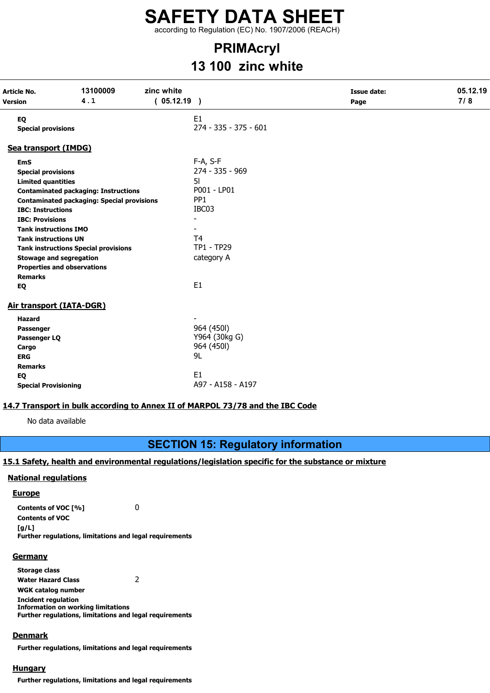according to Regulation (EC) No. 1907/2006 (REACH)

# PRIMAcryl 13 100 zinc white

| Article No.<br>Version                                                                                                                                     | 13100009<br>4.1                                                                                  | zinc white<br>(05.12.19) |                                                                                                                            | <b>Issue date:</b><br>Page | 05.12.19<br>7/8 |
|------------------------------------------------------------------------------------------------------------------------------------------------------------|--------------------------------------------------------------------------------------------------|--------------------------|----------------------------------------------------------------------------------------------------------------------------|----------------------------|-----------------|
| EQ<br><b>Special provisions</b>                                                                                                                            |                                                                                                  |                          | E1<br>274 - 335 - 375 - 601                                                                                                |                            |                 |
| Sea transport (IMDG)                                                                                                                                       |                                                                                                  |                          |                                                                                                                            |                            |                 |
| <b>EmS</b><br><b>Special provisions</b><br><b>Limited quantities</b><br><b>IBC: Instructions</b><br><b>IBC: Provisions</b><br><b>Tank instructions IMO</b> | <b>Contaminated packaging: Instructions</b><br><b>Contaminated packaging: Special provisions</b> |                          | F-A, S-F<br>274 - 335 - 969<br>51<br>P001 - LP01<br>PP <sub>1</sub><br>IBC03<br>$\overline{\phantom{a}}$<br>T <sub>4</sub> |                            |                 |
| <b>Tank instructions UN</b><br><b>Stowage and segregation</b><br><b>Properties and observations</b><br><b>Remarks</b><br>EQ                                | <b>Tank instructions Special provisions</b>                                                      |                          | TP1 - TP29<br>category A<br>E <sub>1</sub>                                                                                 |                            |                 |
| Air transport (IATA-DGR)<br><b>Hazard</b><br>Passenger<br>Passenger LQ<br>Cargo<br><b>ERG</b><br><b>Remarks</b><br>EQ<br><b>Special Provisioning</b>       |                                                                                                  |                          | 964 (450l)<br>Y964 (30kg G)<br>964 (450l)<br>9L<br>E <sub>1</sub><br>A97 - A158 - A197                                     |                            |                 |

### 14.7 Transport in bulk according to Annex II of MARPOL 73/78 and the IBC Code

No data available

# SECTION 15: Regulatory information

### 15.1 Safety, health and environmental regulations/legislation specific for the substance or mixture

### National regulations

### **Europe**

Contents of VOC [%] 0 Contents of VOC [g/L] Further regulations, limitations and legal requirements

### **Germany**

Storage class Water Hazard Class 2 WGK catalog number Incident regulation Information on working limitations Further regulations, limitations and legal requirements

### Denmark

Further regulations, limitations and legal requirements

### **Hungary**

Further regulations, limitations and legal requirements